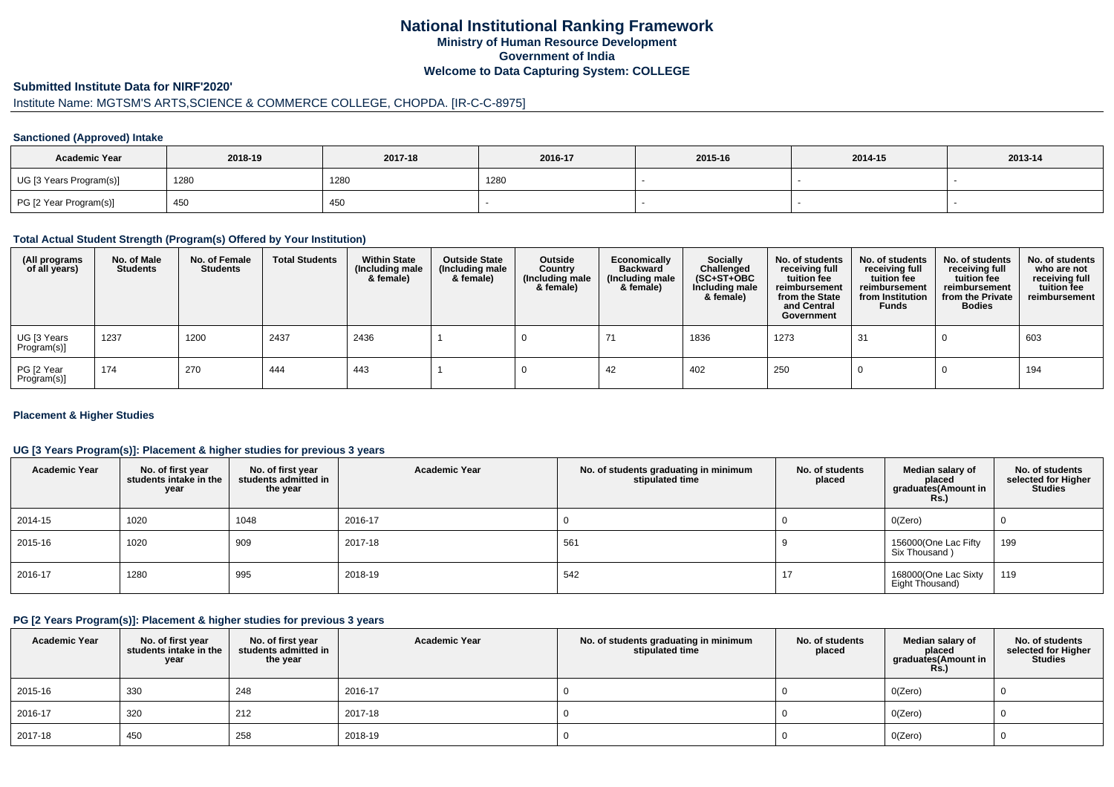## **National Institutional Ranking FrameworkMinistry of Human Resource DevelopmentGovernment of IndiaWelcome to Data Capturing System: COLLEGE**

#### **Submitted Institute Data for NIRF'2020'**

# Institute Name: MGTSM'S ARTS,SCIENCE & COMMERCE COLLEGE, CHOPDA. [IR-C-C-8975]

### **Sanctioned (Approved) Intake**

| <b>Academic Year</b>    | 2018-19 | 2017-18 | 2016-17 | 2015-16 | 2014-15 | 2013-14 |  |
|-------------------------|---------|---------|---------|---------|---------|---------|--|
| UG [3 Years Program(s)] | 1280    | 1280    | 1280    |         |         |         |  |
| PG [2 Year Program(s)]  | 450     | 450     |         |         |         |         |  |

#### **Total Actual Student Strength (Program(s) Offered by Your Institution)**

| (All programs<br>of all years) | No. of Male<br><b>Students</b> | No. of Female<br><b>Students</b> | <b>Total Students</b> | <b>Within State</b><br>(Including male<br>& female) | <b>Outside State</b><br>(Including male<br>& female) | Outside<br>Country<br>(Including male<br>& female) | Economically<br><b>Backward</b><br>(Including male<br>& female) | <b>Socially</b><br>Challenged<br>$(SC+ST+OBC)$<br>Including male<br>& female) | No. of students<br>receiving full<br>tuition fee<br>reimbursement<br>from the State<br>and Central<br>Government | No. of students<br>receiving full<br>tuition fee<br>reimbursement<br>from Institution<br><b>Funds</b> | No. of students<br>receiving full<br>tuition fee<br>reimbursement<br>from the Private<br><b>Bodies</b> | No. of students<br>who are not<br>receiving full<br>tuition fee<br>reimbursement |
|--------------------------------|--------------------------------|----------------------------------|-----------------------|-----------------------------------------------------|------------------------------------------------------|----------------------------------------------------|-----------------------------------------------------------------|-------------------------------------------------------------------------------|------------------------------------------------------------------------------------------------------------------|-------------------------------------------------------------------------------------------------------|--------------------------------------------------------------------------------------------------------|----------------------------------------------------------------------------------|
| UG [3 Years<br>Program(s)]     | 1237                           | 1200                             | 2437                  | 2436                                                |                                                      |                                                    |                                                                 | 1836                                                                          | 1273                                                                                                             | 31                                                                                                    |                                                                                                        | 603                                                                              |
| PG [2 Year<br>Program(s)]      | 174                            | 270                              | 444                   | 443                                                 |                                                      |                                                    | 42                                                              | 402                                                                           | 250                                                                                                              |                                                                                                       |                                                                                                        | 194                                                                              |

### **Placement & Higher Studies**

### **UG [3 Years Program(s)]: Placement & higher studies for previous 3 years**

| <b>Academic Year</b> | No. of first year<br>students intake in the<br>year | No. of first year<br>students admitted in<br>the year | <b>Academic Year</b> | No. of students graduating in minimum<br>stipulated time | No. of students<br>placed | Median salary of<br>placed<br>graduates(Amount in<br>Rs.) | No. of students<br>selected for Higher<br><b>Studies</b> |
|----------------------|-----------------------------------------------------|-------------------------------------------------------|----------------------|----------------------------------------------------------|---------------------------|-----------------------------------------------------------|----------------------------------------------------------|
| 2014-15              | 1020                                                | 1048                                                  | 2016-17              |                                                          |                           | O(Zero)                                                   | O                                                        |
| 2015-16              | 1020                                                | 909                                                   | 2017-18              | 561                                                      |                           | 156000(One Lac Fifty<br>Six Thousand)                     | 199                                                      |
| 2016-17              | 1280                                                | 995                                                   | 2018-19              | 542                                                      | 17                        | 168000(One Lac Sixty<br>Eight Thousand)                   | 119                                                      |

### **PG [2 Years Program(s)]: Placement & higher studies for previous 3 years**

| <b>Academic Year</b> | No. of first year<br>students intake in the<br>year | No. of first year<br>students admitted in<br>the year | <b>Academic Year</b> | No. of students graduating in minimum<br>stipulated time | No. of students<br>placed | Median salary of<br>placed<br>graduates(Amount in<br><b>Rs.)</b> | No. of students<br>selected for Higher<br>Studies |
|----------------------|-----------------------------------------------------|-------------------------------------------------------|----------------------|----------------------------------------------------------|---------------------------|------------------------------------------------------------------|---------------------------------------------------|
| 2015-16              | 330                                                 | 248                                                   | 2016-17              |                                                          |                           | O(Zero)                                                          |                                                   |
| 2016-17              | 320                                                 | 212                                                   | 2017-18              |                                                          |                           | O(Zero)                                                          |                                                   |
| 2017-18              | 450                                                 | 258                                                   | 2018-19              |                                                          |                           | O(Zero)                                                          |                                                   |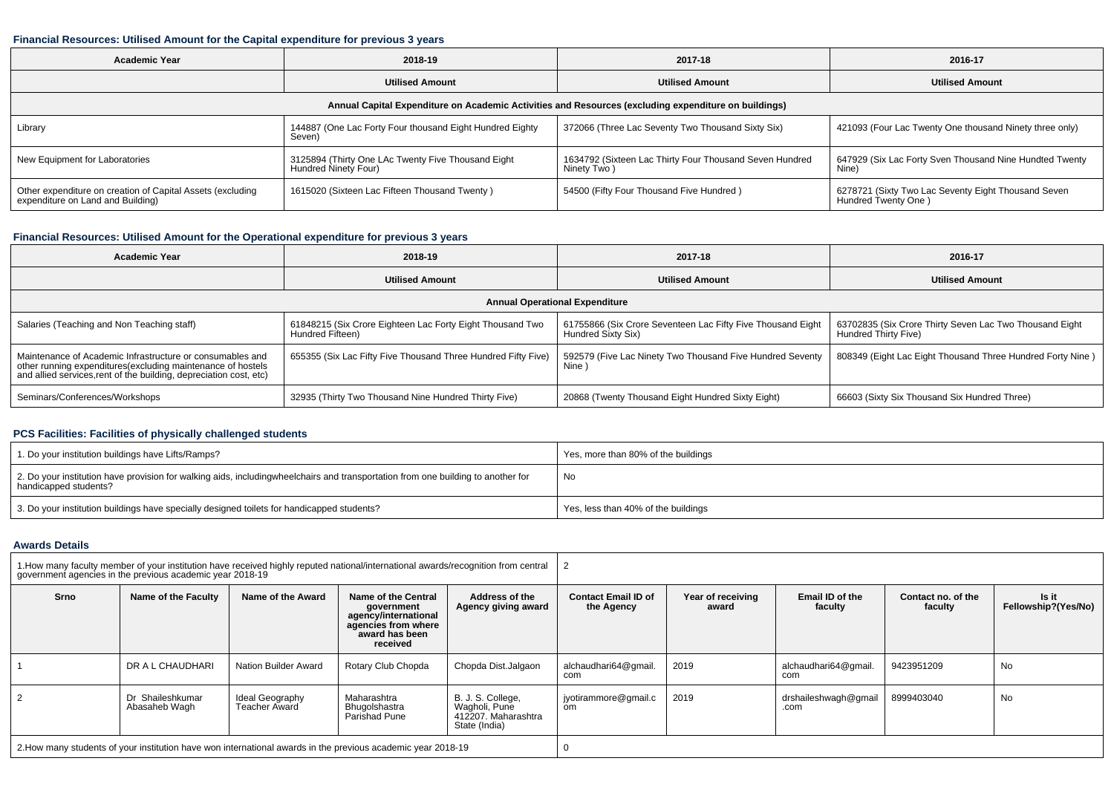## **Financial Resources: Utilised Amount for the Capital expenditure for previous 3 years**

| <b>Academic Year</b>                                                                                 | 2018-19                                                                    | 2017-18                                                                | 2016-17                                                                    |  |  |  |  |  |  |  |  |  |
|------------------------------------------------------------------------------------------------------|----------------------------------------------------------------------------|------------------------------------------------------------------------|----------------------------------------------------------------------------|--|--|--|--|--|--|--|--|--|
|                                                                                                      | <b>Utilised Amount</b>                                                     | <b>Utilised Amount</b>                                                 | <b>Utilised Amount</b>                                                     |  |  |  |  |  |  |  |  |  |
| Annual Capital Expenditure on Academic Activities and Resources (excluding expenditure on buildings) |                                                                            |                                                                        |                                                                            |  |  |  |  |  |  |  |  |  |
| Library                                                                                              | 144887 (One Lac Forty Four thousand Eight Hundred Eighty<br>Seven)         | 372066 (Three Lac Seventy Two Thousand Sixty Six)                      | 421093 (Four Lac Twenty One thousand Ninety three only)                    |  |  |  |  |  |  |  |  |  |
| New Equipment for Laboratories                                                                       | 3125894 (Thirty One LAc Twenty Five Thousand Eight<br>Hundred Ninety Four) | 1634792 (Sixteen Lac Thirty Four Thousand Seven Hundred<br>Ninety Two) | 647929 (Six Lac Forty Sven Thousand Nine Hundted Twenty<br>Nine)           |  |  |  |  |  |  |  |  |  |
| Other expenditure on creation of Capital Assets (excluding<br>expenditure on Land and Building)      | 1615020 (Sixteen Lac Fifteen Thousand Twenty)                              | 54500 (Fifty Four Thousand Five Hundred)                               | 6278721 (Sixty Two Lac Seventy Eight Thousand Seven<br>Hundred Twenty One) |  |  |  |  |  |  |  |  |  |

## **Financial Resources: Utilised Amount for the Operational expenditure for previous 3 years**

| <b>Academic Year</b>                                                                                                                                                                            | 2018-19                                                                       | 2017-18                                                                           | 2016-17                                                                         |  |  |  |  |  |  |  |  |  |
|-------------------------------------------------------------------------------------------------------------------------------------------------------------------------------------------------|-------------------------------------------------------------------------------|-----------------------------------------------------------------------------------|---------------------------------------------------------------------------------|--|--|--|--|--|--|--|--|--|
|                                                                                                                                                                                                 | <b>Utilised Amount</b>                                                        | <b>Utilised Amount</b>                                                            | <b>Utilised Amount</b>                                                          |  |  |  |  |  |  |  |  |  |
| <b>Annual Operational Expenditure</b>                                                                                                                                                           |                                                                               |                                                                                   |                                                                                 |  |  |  |  |  |  |  |  |  |
| Salaries (Teaching and Non Teaching staff)                                                                                                                                                      | 61848215 (Six Crore Eighteen Lac Forty Eight Thousand Two<br>Hundred Fifteen) | 61755866 (Six Crore Seventeen Lac Fifty Five Thousand Eight<br>Hundred Sixty Six) | 63702835 (Six Crore Thirty Seven Lac Two Thousand Eight<br>Hundred Thirty Five) |  |  |  |  |  |  |  |  |  |
| Maintenance of Academic Infrastructure or consumables and<br>other running expenditures (excluding maintenance of hostels<br>and allied services, rent of the building, depreciation cost, etc) | 655355 (Six Lac Fifty Five Thousand Three Hundred Fifty Five)                 | 592579 (Five Lac Ninety Two Thousand Five Hundred Seventy<br>Nine                 | 808349 (Eight Lac Eight Thousand Three Hundred Forty Nine)                      |  |  |  |  |  |  |  |  |  |
| Seminars/Conferences/Workshops                                                                                                                                                                  | 32935 (Thirty Two Thousand Nine Hundred Thirty Five)                          | 20868 (Twenty Thousand Eight Hundred Sixty Eight)                                 | 66603 (Sixty Six Thousand Six Hundred Three)                                    |  |  |  |  |  |  |  |  |  |

### **PCS Facilities: Facilities of physically challenged students**

| 1. Do your institution buildings have Lifts/Ramps?                                                                                                        | Yes, more than 80% of the buildings |
|-----------------------------------------------------------------------------------------------------------------------------------------------------------|-------------------------------------|
| 2. Do your institution have provision for walking aids, includingwheelchairs and transportation from one building to another for<br>handicapped students? | No                                  |
| 3. Do your institution buildings have specially designed toilets for handicapped students?                                                                | Yes, less than 40% of the buildings |

### **Awards Details**

|      | government agencies in the previous academic year 2018-19 |                                         | 1. How many faculty member of your institution have received highly reputed national/international awards/recognition from central |                                                                            |                                          |                            |                              |                               |                              |  |  |
|------|-----------------------------------------------------------|-----------------------------------------|------------------------------------------------------------------------------------------------------------------------------------|----------------------------------------------------------------------------|------------------------------------------|----------------------------|------------------------------|-------------------------------|------------------------------|--|--|
| Srno | Name of the Faculty                                       | Name of the Award                       | Name of the Central<br>government<br>agency/international<br>agencies from where<br>award has been<br>received                     | Address of the<br>Agency giving award                                      | <b>Contact Email ID of</b><br>the Agency | Year of receiving<br>award | Email ID of the<br>faculty   | Contact no, of the<br>faculty | Is it<br>Fellowship?(Yes/No) |  |  |
|      | DR A L CHAUDHARI                                          | Nation Builder Award                    | Rotary Club Chopda                                                                                                                 | Chopda Dist.Jalgaon                                                        | alchaudhari64@gmail<br>com               | 2019                       | alchaudhari64@gmail.<br>com  | 9423951209                    | No                           |  |  |
|      | Dr Shaileshkumar<br>Abasaheb Wagh                         | Ideal Geography<br><b>Teacher Award</b> | Maharashtra<br>Bhugolshastra<br>Parishad Pune                                                                                      | B. J. S. College,<br>Wagholi, Pune<br>412207. Maharashtra<br>State (India) | jyotirammore@gmail.c<br>om               | 2019                       | drshaileshwagh@gmail<br>.com | 8999403040                    | No                           |  |  |
|      |                                                           |                                         | 2. How many students of your institution have won international awards in the previous academic year 2018-19                       |                                                                            |                                          |                            |                              |                               |                              |  |  |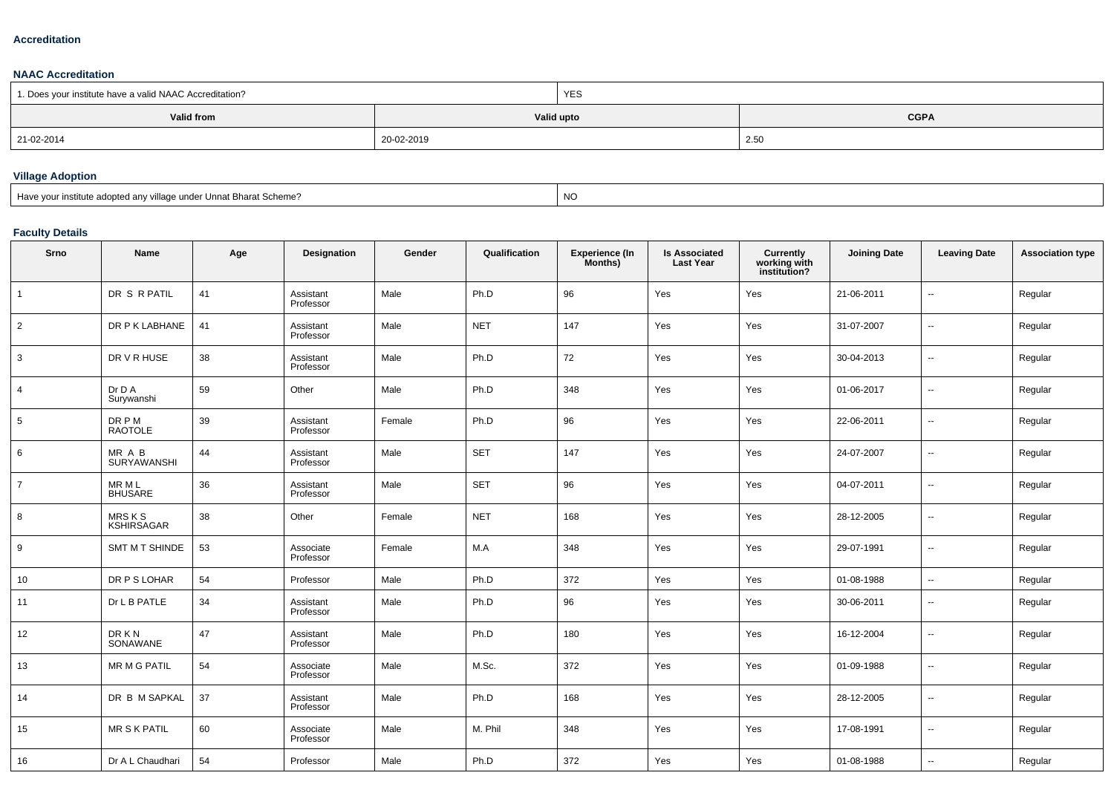#### **Accreditation**

**NAAC Accreditation**

| 1. Does your institute have a valid NAAC Accreditation? |            | YES                       |      |  |  |
|---------------------------------------------------------|------------|---------------------------|------|--|--|
| <b>Valid from</b>                                       |            | <b>CGPA</b><br>Valid upto |      |  |  |
| 21-02-2014                                              | 20-02-2019 |                           | 2.50 |  |  |

### **Village Adoption**

Have your institute adopted any village under Unnat Bharat Scheme?

experience of the contract of the contract of the contract of the contract of the contract of the contract of the contract of the contract of the contract of the contract of the contract of the contract of the contract of

## **Faculty Details**

| Srno            | Name                              | Age | Designation            | Gender | Qualification | <b>Experience (In</b><br>Months) | <b>Is Associated</b><br><b>Last Year</b> | Currently<br>working with<br>institution? | <b>Joining Date</b> | <b>Leaving Date</b>      | <b>Association type</b> |
|-----------------|-----------------------------------|-----|------------------------|--------|---------------|----------------------------------|------------------------------------------|-------------------------------------------|---------------------|--------------------------|-------------------------|
|                 | DR S R PATIL                      | 41  | Assistant<br>Professor | Male   | Ph.D          | 96                               | Yes                                      | Yes                                       | 21-06-2011          | $\overline{\phantom{a}}$ | Regular                 |
| $\overline{2}$  | DR P K LABHANE                    | 41  | Assistant<br>Professor | Male   | <b>NET</b>    | 147                              | Yes                                      | Yes                                       | 31-07-2007          | $\sim$                   | Regular                 |
| 3               | DR V R HUSE                       | 38  | Assistant<br>Professor | Male   | Ph.D          | 72                               | Yes                                      | Yes                                       | 30-04-2013          | $\sim$                   | Regular                 |
| $\overline{4}$  | Dr D A<br>Surywanshi              | 59  | Other                  | Male   | Ph.D          | 348                              | Yes                                      | Yes                                       | 01-06-2017          | $\ddotsc$                | Regular                 |
| $5\phantom{.0}$ | DR P M<br>RAOTOLE                 | 39  | Assistant<br>Professor | Female | Ph.D          | 96                               | Yes                                      | Yes                                       | 22-06-2011          | $\sim$                   | Regular                 |
| 6               | MR A B<br>SURYAWANSHI             | 44  | Assistant<br>Professor | Male   | <b>SET</b>    | 147                              | Yes                                      | Yes                                       | 24-07-2007          | $\sim$                   | Regular                 |
| $\overline{7}$  | MR M L<br>BHUSARE                 | 36  | Assistant<br>Professor | Male   | <b>SET</b>    | 96                               | Yes                                      | Yes                                       | 04-07-2011          | $\sim$                   | Regular                 |
| 8               | <b>MRSKS</b><br><b>KSHIRSAGAR</b> | 38  | Other                  | Female | <b>NET</b>    | 168                              | Yes                                      | Yes                                       | 28-12-2005          | $\ddotsc$                | Regular                 |
| 9               | SMT M T SHINDE                    | 53  | Associate<br>Professor | Female | M.A           | 348                              | Yes                                      | Yes                                       | 29-07-1991          | $\sim$                   | Regular                 |
| 10              | DR P S LOHAR                      | 54  | Professor              | Male   | Ph.D          | 372                              | Yes                                      | Yes                                       | 01-08-1988          | $\overline{\phantom{a}}$ | Regular                 |
| 11              | Dr L B PATLE                      | 34  | Assistant<br>Professor | Male   | Ph.D          | 96                               | Yes                                      | Yes                                       | 30-06-2011          | $\sim$                   | Regular                 |
| 12              | DR K N<br>SONAWANE                | 47  | Assistant<br>Professor | Male   | Ph.D          | 180                              | Yes                                      | Yes                                       | 16-12-2004          | $\overline{\phantom{a}}$ | Regular                 |
| 13              | <b>MR M G PATIL</b>               | 54  | Associate<br>Professor | Male   | M.Sc.         | 372                              | Yes                                      | Yes                                       | 01-09-1988          | $\sim$                   | Regular                 |
| 14              | DR B M SAPKAL                     | 37  | Assistant<br>Professor | Male   | Ph.D          | 168                              | Yes                                      | Yes                                       | 28-12-2005          | $\overline{\phantom{a}}$ | Regular                 |
| 15              | <b>MR S K PATIL</b>               | 60  | Associate<br>Professor | Male   | M. Phil       | 348                              | Yes                                      | Yes                                       | 17-08-1991          | $\sim$                   | Regular                 |
| 16              | Dr A L Chaudhari                  | 54  | Professor              | Male   | Ph.D          | 372                              | Yes                                      | Yes                                       | 01-08-1988          | $\overline{a}$           | Regular                 |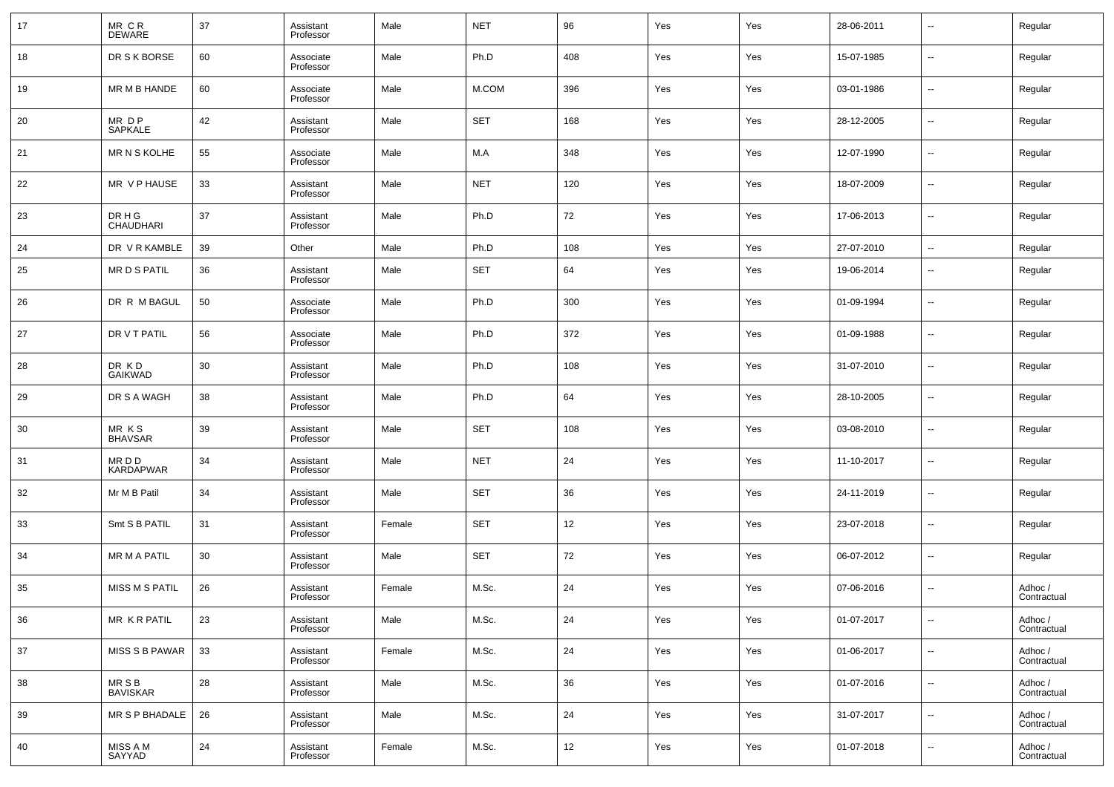| 17 | MR CR<br>DEWARE            | 37 | Assistant<br>Professor | Male   | <b>NET</b> | 96  | Yes | Yes | 28-06-2011 | $\overline{\phantom{a}}$ | Regular                |
|----|----------------------------|----|------------------------|--------|------------|-----|-----|-----|------------|--------------------------|------------------------|
| 18 | DR S K BORSE               | 60 | Associate<br>Professor | Male   | Ph.D       | 408 | Yes | Yes | 15-07-1985 | $\overline{\phantom{a}}$ | Regular                |
| 19 | MR M B HANDE               | 60 | Associate<br>Professor | Male   | M.COM      | 396 | Yes | Yes | 03-01-1986 | $\overline{\phantom{a}}$ | Regular                |
| 20 | MR D P<br>SAPKALE          | 42 | Assistant<br>Professor | Male   | <b>SET</b> | 168 | Yes | Yes | 28-12-2005 | $\overline{\phantom{a}}$ | Regular                |
| 21 | <b>MR N S KOLHE</b>        | 55 | Associate<br>Professor | Male   | M.A        | 348 | Yes | Yes | 12-07-1990 | $\overline{\phantom{a}}$ | Regular                |
| 22 | MR V P HAUSE               | 33 | Assistant<br>Professor | Male   | <b>NET</b> | 120 | Yes | Yes | 18-07-2009 | $\overline{\phantom{a}}$ | Regular                |
| 23 | DR H G<br><b>CHAUDHARI</b> | 37 | Assistant<br>Professor | Male   | Ph.D       | 72  | Yes | Yes | 17-06-2013 | $\overline{\phantom{a}}$ | Regular                |
| 24 | DR V R KAMBLE              | 39 | Other                  | Male   | Ph.D       | 108 | Yes | Yes | 27-07-2010 | $\overline{\phantom{a}}$ | Regular                |
| 25 | MR D S PATIL               | 36 | Assistant<br>Professor | Male   | <b>SET</b> | 64  | Yes | Yes | 19-06-2014 | $\overline{\phantom{a}}$ | Regular                |
| 26 | DR R M BAGUL               | 50 | Associate<br>Professor | Male   | Ph.D       | 300 | Yes | Yes | 01-09-1994 | $\overline{\phantom{a}}$ | Regular                |
| 27 | DR V T PATIL               | 56 | Associate<br>Professor | Male   | Ph.D       | 372 | Yes | Yes | 01-09-1988 | $\overline{\phantom{a}}$ | Regular                |
| 28 | DR KD<br><b>GAIKWAD</b>    | 30 | Assistant<br>Professor | Male   | Ph.D       | 108 | Yes | Yes | 31-07-2010 | $\overline{\phantom{a}}$ | Regular                |
| 29 | DR S A WAGH                | 38 | Assistant<br>Professor | Male   | Ph.D       | 64  | Yes | Yes | 28-10-2005 | $\overline{\phantom{a}}$ | Regular                |
| 30 | MR KS<br><b>BHAVSAR</b>    | 39 | Assistant<br>Professor | Male   | <b>SET</b> | 108 | Yes | Yes | 03-08-2010 | $\overline{\phantom{a}}$ | Regular                |
| 31 | MR D D<br><b>KARDAPWAR</b> | 34 | Assistant<br>Professor | Male   | <b>NET</b> | 24  | Yes | Yes | 11-10-2017 | $\overline{\phantom{a}}$ | Regular                |
| 32 | Mr M B Patil               | 34 | Assistant<br>Professor | Male   | <b>SET</b> | 36  | Yes | Yes | 24-11-2019 | $\overline{\phantom{a}}$ | Regular                |
| 33 | Smt S B PATIL              | 31 | Assistant<br>Professor | Female | <b>SET</b> | 12  | Yes | Yes | 23-07-2018 | $\overline{\phantom{a}}$ | Regular                |
| 34 | <b>MR M A PATIL</b>        | 30 | Assistant<br>Professor | Male   | <b>SET</b> | 72  | Yes | Yes | 06-07-2012 | $\overline{\phantom{a}}$ | Regular                |
| 35 | MISS M S PATIL             | 26 | Assistant<br>Professor | Female | M.Sc.      | 24  | Yes | Yes | 07-06-2016 | $\overline{\phantom{a}}$ | Adhoc /<br>Contractual |
| 36 | MR KR PATIL                | 23 | Assistant<br>Professor | Male   | M.Sc.      | 24  | Yes | Yes | 01-07-2017 | $\overline{\phantom{a}}$ | Adhoc /<br>Contractual |
| 37 | MISS S B PAWAR             | 33 | Assistant<br>Professor | Female | M.Sc.      | 24  | Yes | Yes | 01-06-2017 | $\overline{\phantom{a}}$ | Adhoc /<br>Contractual |
| 38 | MR S B<br><b>BAVISKAR</b>  | 28 | Assistant<br>Professor | Male   | M.Sc.      | 36  | Yes | Yes | 01-07-2016 | $\overline{\phantom{a}}$ | Adhoc /<br>Contractual |
| 39 | MR S P BHADALE             | 26 | Assistant<br>Professor | Male   | M.Sc.      | 24  | Yes | Yes | 31-07-2017 | $\overline{\phantom{a}}$ | Adhoc /<br>Contractual |
| 40 | MISS A M<br>SAYYAD         | 24 | Assistant<br>Professor | Female | M.Sc.      | 12  | Yes | Yes | 01-07-2018 | $\overline{\phantom{a}}$ | Adhoc /<br>Contractual |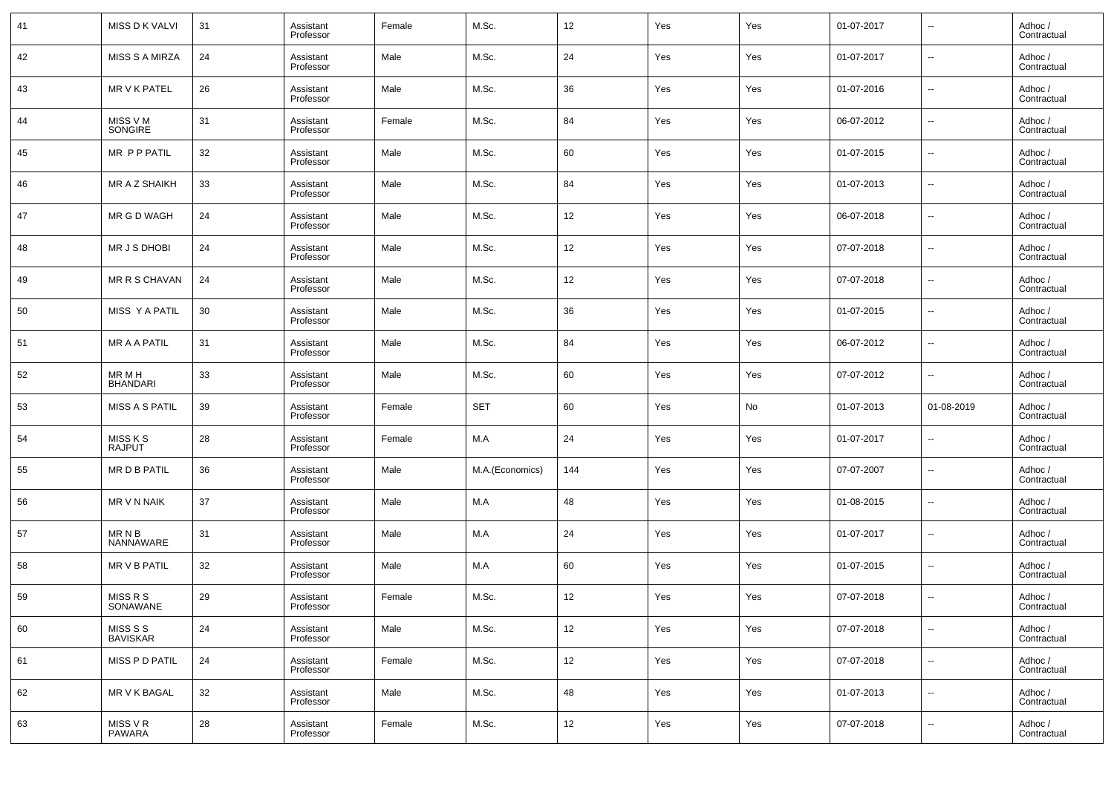| 41 | <b>MISS D K VALVI</b>     | 31 | Assistant<br>Professor | Female | M.Sc.           | 12                | Yes | Yes | 01-07-2017 | $\overline{\phantom{a}}$ | Adhoc /<br>Contractual |
|----|---------------------------|----|------------------------|--------|-----------------|-------------------|-----|-----|------------|--------------------------|------------------------|
| 42 | <b>MISS S A MIRZA</b>     | 24 | Assistant<br>Professor | Male   | M.Sc.           | 24                | Yes | Yes | 01-07-2017 | $\overline{\phantom{a}}$ | Adhoc /<br>Contractual |
| 43 | MR V K PATEL              | 26 | Assistant<br>Professor | Male   | M.Sc.           | 36                | Yes | Yes | 01-07-2016 | $\overline{\phantom{a}}$ | Adhoc /<br>Contractual |
| 44 | MISS V M<br>SONGIRE       | 31 | Assistant<br>Professor | Female | M.Sc.           | 84                | Yes | Yes | 06-07-2012 | $\overline{\phantom{a}}$ | Adhoc /<br>Contractual |
| 45 | MR P P PATIL              | 32 | Assistant<br>Professor | Male   | M.Sc.           | 60                | Yes | Yes | 01-07-2015 | $\overline{\phantom{a}}$ | Adhoc /<br>Contractual |
| 46 | MR A Z SHAIKH             | 33 | Assistant<br>Professor | Male   | M.Sc.           | 84                | Yes | Yes | 01-07-2013 | $\overline{\phantom{a}}$ | Adhoc /<br>Contractual |
| 47 | MR G D WAGH               | 24 | Assistant<br>Professor | Male   | M.Sc.           | 12                | Yes | Yes | 06-07-2018 | $\overline{\phantom{a}}$ | Adhoc /<br>Contractual |
| 48 | MR J S DHOBI              | 24 | Assistant<br>Professor | Male   | M.Sc.           | 12                | Yes | Yes | 07-07-2018 | $\overline{\phantom{a}}$ | Adhoc /<br>Contractual |
| 49 | MR R S CHAVAN             | 24 | Assistant<br>Professor | Male   | M.Sc.           | 12                | Yes | Yes | 07-07-2018 | $\overline{\phantom{a}}$ | Adhoc /<br>Contractual |
| 50 | MISS Y A PATIL            | 30 | Assistant<br>Professor | Male   | M.Sc.           | 36                | Yes | Yes | 01-07-2015 | $\overline{\phantom{a}}$ | Adhoc /<br>Contractual |
| 51 | <b>MR A A PATIL</b>       | 31 | Assistant<br>Professor | Male   | M.Sc.           | 84                | Yes | Yes | 06-07-2012 | $\overline{\phantom{a}}$ | Adhoc /<br>Contractual |
| 52 | MR M H<br><b>BHANDARI</b> | 33 | Assistant<br>Professor | Male   | M.Sc.           | 60                | Yes | Yes | 07-07-2012 | $\overline{\phantom{a}}$ | Adhoc /<br>Contractual |
| 53 | <b>MISS A S PATIL</b>     | 39 | Assistant<br>Professor | Female | <b>SET</b>      | 60                | Yes | No  | 01-07-2013 | 01-08-2019               | Adhoc /<br>Contractual |
| 54 | MISS K S<br><b>RAJPUT</b> | 28 | Assistant<br>Professor | Female | M.A             | 24                | Yes | Yes | 01-07-2017 | $\overline{\phantom{a}}$ | Adhoc /<br>Contractual |
| 55 | <b>MRDBPATIL</b>          | 36 | Assistant<br>Professor | Male   | M.A.(Economics) | 144               | Yes | Yes | 07-07-2007 | $\overline{\phantom{a}}$ | Adhoc /<br>Contractual |
| 56 | MR V N NAIK               | 37 | Assistant<br>Professor | Male   | M.A             | 48                | Yes | Yes | 01-08-2015 | $\overline{\phantom{a}}$ | Adhoc /<br>Contractual |
| 57 | MR N B<br>NANNAWARE       | 31 | Assistant<br>Professor | Male   | M.A             | 24                | Yes | Yes | 01-07-2017 | $\overline{\phantom{a}}$ | Adhoc /<br>Contractual |
| 58 | MR V B PATIL              | 32 | Assistant<br>Professor | Male   | M.A             | 60                | Yes | Yes | 01-07-2015 | $\overline{\phantom{a}}$ | Adhoc /<br>Contractual |
| 59 | MISS R S<br>SONAWANE      | 29 | Assistant<br>Professor | Female | M.Sc.           | 12                | Yes | Yes | 07-07-2018 | $\overline{\phantom{a}}$ | Adhoc /<br>Contractual |
| 60 | MISS S S<br>BAVISKAR      | 24 | Assistant<br>Professor | Male   | M.Sc.           | 12                | Yes | Yes | 07-07-2018 | $\overline{\phantom{a}}$ | Adhoc /<br>Contractual |
| 61 | MISS P D PATIL            | 24 | Assistant<br>Professor | Female | M.Sc.           | 12                | Yes | Yes | 07-07-2018 | $\overline{\phantom{a}}$ | Adhoc /<br>Contractual |
| 62 | MR V K BAGAL              | 32 | Assistant<br>Professor | Male   | M.Sc.           | 48                | Yes | Yes | 01-07-2013 | ۰.                       | Adhoc /<br>Contractual |
| 63 | MISS V R<br>PAWARA        | 28 | Assistant<br>Professor | Female | M.Sc.           | $12 \overline{ }$ | Yes | Yes | 07-07-2018 | ۰.                       | Adhoc /<br>Contractual |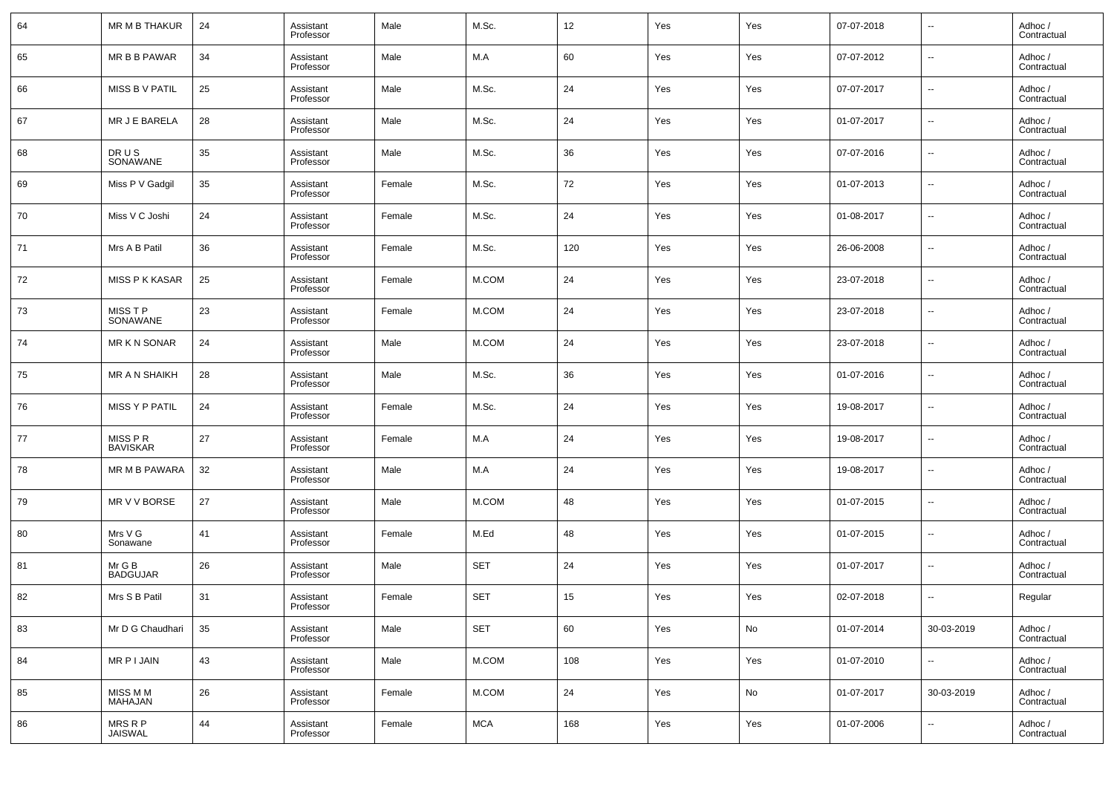| 64 | MR M B THAKUR             | 24 | Assistant<br>Professor | Male   | M.Sc.      | 12  | Yes | Yes | 07-07-2018 | $\overline{\phantom{a}}$ | Adhoc /<br>Contractual |
|----|---------------------------|----|------------------------|--------|------------|-----|-----|-----|------------|--------------------------|------------------------|
| 65 | MR B B PAWAR              | 34 | Assistant<br>Professor | Male   | M.A        | 60  | Yes | Yes | 07-07-2012 | $\overline{\phantom{a}}$ | Adhoc /<br>Contractual |
| 66 | MISS B V PATIL            | 25 | Assistant<br>Professor | Male   | M.Sc.      | 24  | Yes | Yes | 07-07-2017 | $\overline{\phantom{a}}$ | Adhoc /<br>Contractual |
| 67 | MR J E BARELA             | 28 | Assistant<br>Professor | Male   | M.Sc.      | 24  | Yes | Yes | 01-07-2017 | $\overline{\phantom{a}}$ | Adhoc /<br>Contractual |
| 68 | DR U S<br>SONAWANE        | 35 | Assistant<br>Professor | Male   | M.Sc.      | 36  | Yes | Yes | 07-07-2016 | $\overline{\phantom{a}}$ | Adhoc /<br>Contractual |
| 69 | Miss P V Gadgil           | 35 | Assistant<br>Professor | Female | M.Sc.      | 72  | Yes | Yes | 01-07-2013 | $\overline{\phantom{a}}$ | Adhoc /<br>Contractual |
| 70 | Miss V C Joshi            | 24 | Assistant<br>Professor | Female | M.Sc.      | 24  | Yes | Yes | 01-08-2017 | $\overline{\phantom{a}}$ | Adhoc /<br>Contractual |
| 71 | Mrs A B Patil             | 36 | Assistant<br>Professor | Female | M.Sc.      | 120 | Yes | Yes | 26-06-2008 | $\overline{\phantom{a}}$ | Adhoc /<br>Contractual |
| 72 | <b>MISS P K KASAR</b>     | 25 | Assistant<br>Professor | Female | M.COM      | 24  | Yes | Yes | 23-07-2018 | $\overline{\phantom{a}}$ | Adhoc /<br>Contractual |
| 73 | MISS T P<br>SONAWANE      | 23 | Assistant<br>Professor | Female | M.COM      | 24  | Yes | Yes | 23-07-2018 | $\overline{\phantom{a}}$ | Adhoc /<br>Contractual |
| 74 | MR K N SONAR              | 24 | Assistant<br>Professor | Male   | M.COM      | 24  | Yes | Yes | 23-07-2018 | $\overline{\phantom{a}}$ | Adhoc /<br>Contractual |
| 75 | MR A N SHAIKH             | 28 | Assistant<br>Professor | Male   | M.Sc.      | 36  | Yes | Yes | 01-07-2016 | $\overline{\phantom{a}}$ | Adhoc /<br>Contractual |
| 76 | MISS Y P PATIL            | 24 | Assistant<br>Professor | Female | M.Sc.      | 24  | Yes | Yes | 19-08-2017 | $\overline{\phantom{a}}$ | Adhoc /<br>Contractual |
| 77 | MISS P R<br>BAVISKAR      | 27 | Assistant<br>Professor | Female | M.A        | 24  | Yes | Yes | 19-08-2017 | $\overline{\phantom{a}}$ | Adhoc /<br>Contractual |
| 78 | MR M B PAWARA             | 32 | Assistant<br>Professor | Male   | M.A        | 24  | Yes | Yes | 19-08-2017 | $\overline{\phantom{a}}$ | Adhoc /<br>Contractual |
| 79 | MR V V BORSE              | 27 | Assistant<br>Professor | Male   | M.COM      | 48  | Yes | Yes | 01-07-2015 | $\overline{\phantom{a}}$ | Adhoc /<br>Contractual |
| 80 | Mrs V G<br>Sonawane       | 41 | Assistant<br>Professor | Female | M.Ed       | 48  | Yes | Yes | 01-07-2015 | $\overline{\phantom{a}}$ | Adhoc /<br>Contractual |
| 81 | Mr G B<br>BADGUJAR        | 26 | Assistant<br>Professor | Male   | <b>SET</b> | 24  | Yes | Yes | 01-07-2017 | $\overline{\phantom{a}}$ | Adhoc /<br>Contractual |
| 82 | Mrs S B Patil             | 31 | Assistant<br>Professor | Female | <b>SET</b> | 15  | Yes | Yes | 02-07-2018 | $\sim$                   | Regular                |
| 83 | Mr D G Chaudhari          | 35 | Assistant<br>Professor | Male   | <b>SET</b> | 60  | Yes | No  | 01-07-2014 | 30-03-2019               | Adhoc /<br>Contractual |
| 84 | MR P I JAIN               | 43 | Assistant<br>Professor | Male   | M.COM      | 108 | Yes | Yes | 01-07-2010 | $\overline{\phantom{a}}$ | Adhoc /<br>Contractual |
| 85 | MISS M M<br>MAHAJAN       | 26 | Assistant<br>Professor | Female | M.COM      | 24  | Yes | No  | 01-07-2017 | 30-03-2019               | Adhoc /<br>Contractual |
| 86 | MRS R P<br><b>JAISWAL</b> | 44 | Assistant<br>Professor | Female | <b>MCA</b> | 168 | Yes | Yes | 01-07-2006 | $\overline{\phantom{a}}$ | Adhoc /<br>Contractual |